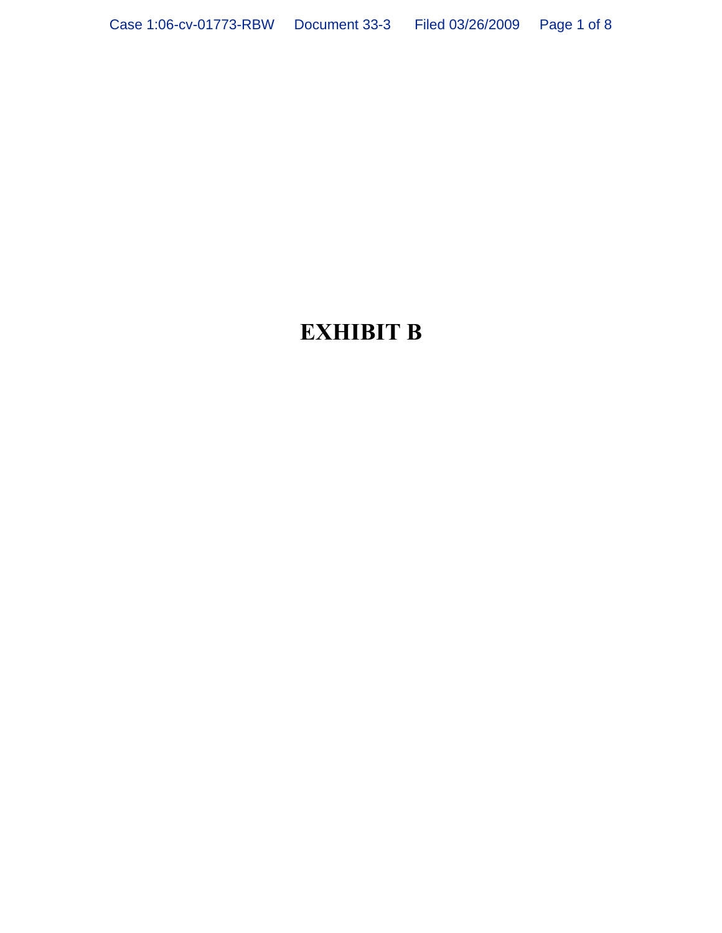# **EXHIBIT B**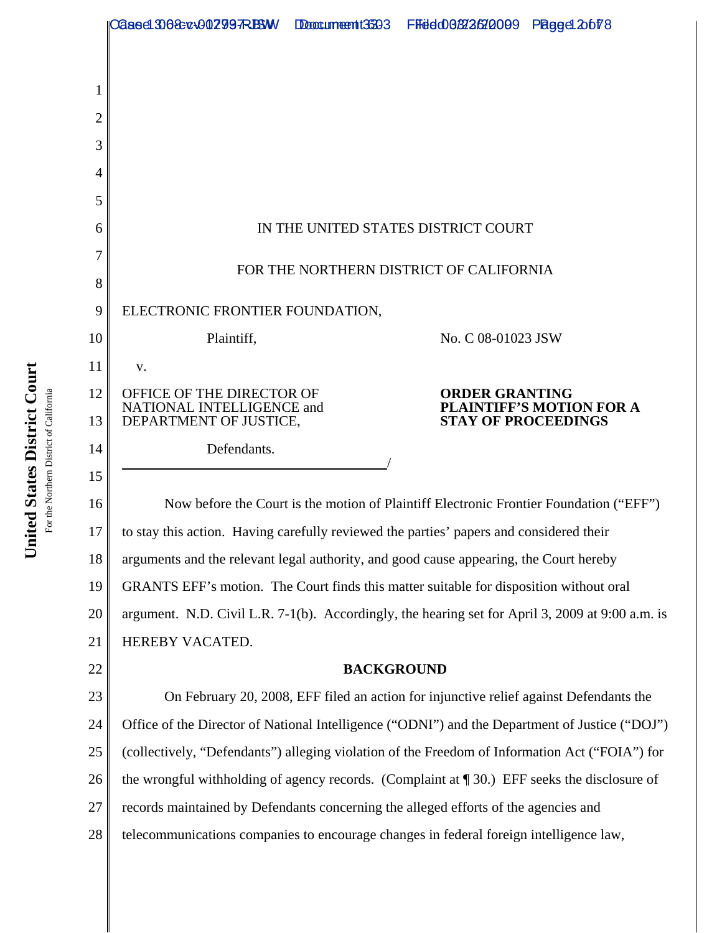|    | 02aee1308cx00 <b>2997RB</b> M                                                                    |  | Doccumeent:3593 FFedd06/52/262/2009 Pagget 20078 |                          |  |
|----|--------------------------------------------------------------------------------------------------|--|--------------------------------------------------|--------------------------|--|
|    |                                                                                                  |  |                                                  |                          |  |
|    |                                                                                                  |  |                                                  |                          |  |
| 2  |                                                                                                  |  |                                                  |                          |  |
| 3  |                                                                                                  |  |                                                  |                          |  |
|    |                                                                                                  |  |                                                  |                          |  |
| 5  |                                                                                                  |  |                                                  |                          |  |
| 6  | IN THE UNITED STATES DISTRICT COURT                                                              |  |                                                  |                          |  |
| 7  | FOR THE NORTHERN DISTRICT OF CALIFORNIA                                                          |  |                                                  |                          |  |
| 8  |                                                                                                  |  |                                                  |                          |  |
| 9  | ELECTRONIC FRONTIER FOUNDATION,                                                                  |  |                                                  |                          |  |
| 10 | Plaintiff,                                                                                       |  | No. C 08-01023 JSW                               |                          |  |
| 11 | V.                                                                                               |  |                                                  |                          |  |
| 12 | OFFICE OF THE DIRECTOR OF<br>NATIONAL INTELLIGENCE and                                           |  | <b>ORDER GRANTING</b>                            | PLAINTIFF'S MOTION FOR A |  |
| 13 | DEPARTMENT OF JUSTICE,                                                                           |  | <b>STAY OF PROCEEDINGS</b>                       |                          |  |
| 14 | Defendants.                                                                                      |  |                                                  |                          |  |
| 15 |                                                                                                  |  |                                                  |                          |  |
| 16 | Now before the Court is the motion of Plaintiff Electronic Frontier Foundation ("EFF")           |  |                                                  |                          |  |
| 17 | to stay this action. Having carefully reviewed the parties' papers and considered their          |  |                                                  |                          |  |
| 18 | arguments and the relevant legal authority, and good cause appearing, the Court hereby           |  |                                                  |                          |  |
| 19 | GRANTS EFF's motion. The Court finds this matter suitable for disposition without oral           |  |                                                  |                          |  |
| 20 | argument. N.D. Civil L.R. 7-1(b). Accordingly, the hearing set for April 3, 2009 at 9:00 a.m. is |  |                                                  |                          |  |
| 21 | HEREBY VACATED.                                                                                  |  |                                                  |                          |  |
| 22 | <b>BACKGROUND</b>                                                                                |  |                                                  |                          |  |
| 23 | On February 20, 2008, EFF filed an action for injunctive relief against Defendants the           |  |                                                  |                          |  |
| 24 | Office of the Director of National Intelligence ("ODNI") and the Department of Justice ("DOJ")   |  |                                                  |                          |  |
| 25 | (collectively, "Defendants") alleging violation of the Freedom of Information Act ("FOIA") for   |  |                                                  |                          |  |
| 26 | the wrongful withholding of agency records. (Complaint at $\P$ 30.) EFF seeks the disclosure of  |  |                                                  |                          |  |
| 27 | records maintained by Defendants concerning the alleged efforts of the agencies and              |  |                                                  |                          |  |
| 28 | telecommunications companies to encourage changes in federal foreign intelligence law,           |  |                                                  |                          |  |
|    |                                                                                                  |  |                                                  |                          |  |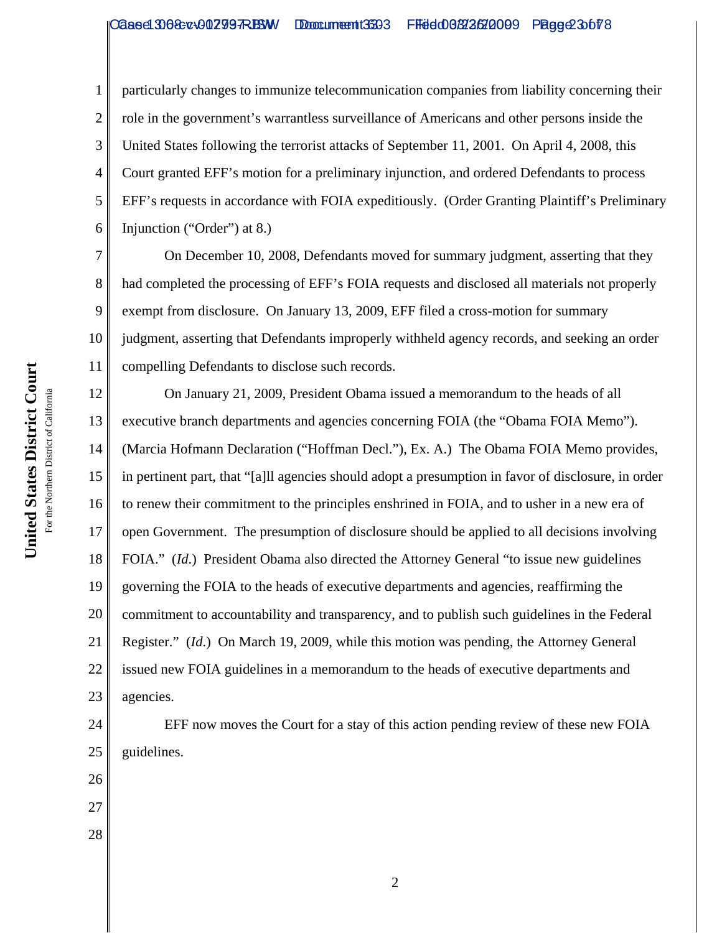2 3 4 5 6 particularly changes to immunize telecommunication companies from liability concerning their role in the government's warrantless surveillance of Americans and other persons inside the United States following the terrorist attacks of September 11, 2001. On April 4, 2008, this Court granted EFF's motion for a preliminary injunction, and ordered Defendants to process EFF's requests in accordance with FOIA expeditiously.(Order Granting Plaintiff's Preliminary Injunction ("Order") at 8.)

7 8 9 10 11 On December 10, 2008, Defendants moved for summary judgment, asserting that they had completed the processing of EFF's FOIA requests and disclosed all materials not properly exempt from disclosure. On January 13, 2009, EFF filed a cross-motion for summary judgment, asserting that Defendants improperly withheld agency records, and seeking an order compelling Defendants to disclose such records.

12 13 14 15 16 17 18 19 20 21 22 23 On January 21, 2009, President Obama issued a memorandum to the heads of all executive branch departments and agencies concerning FOIA (the "Obama FOIA Memo"). (Marcia Hofmann Declaration ("Hoffman Decl."), Ex. A.)The Obama FOIA Memo provides, in pertinent part, that "[a]ll agencies should adopt a presumption in favor of disclosure, in order to renew their commitment to the principles enshrined in FOIA, and to usher in a new era of open Government. The presumption of disclosure should be applied to all decisions involving FOIA." (*Id*.) President Obama also directed the Attorney General "to issue new guidelines governing the FOIA to the heads of executive departments and agencies, reaffirming the commitment to accountability and transparency, and to publish such guidelines in the Federal Register." (*Id*.) On March 19, 2009, while this motion was pending, the Attorney General issued new FOIA guidelines in a memorandum to the heads of executive departments and agencies.

24 25 EFF now moves the Court for a stay of this action pending review of these new FOIA guidelines.

United States District Court **United States District Court** For the Northern District of California For the Northern District of California

26

27

28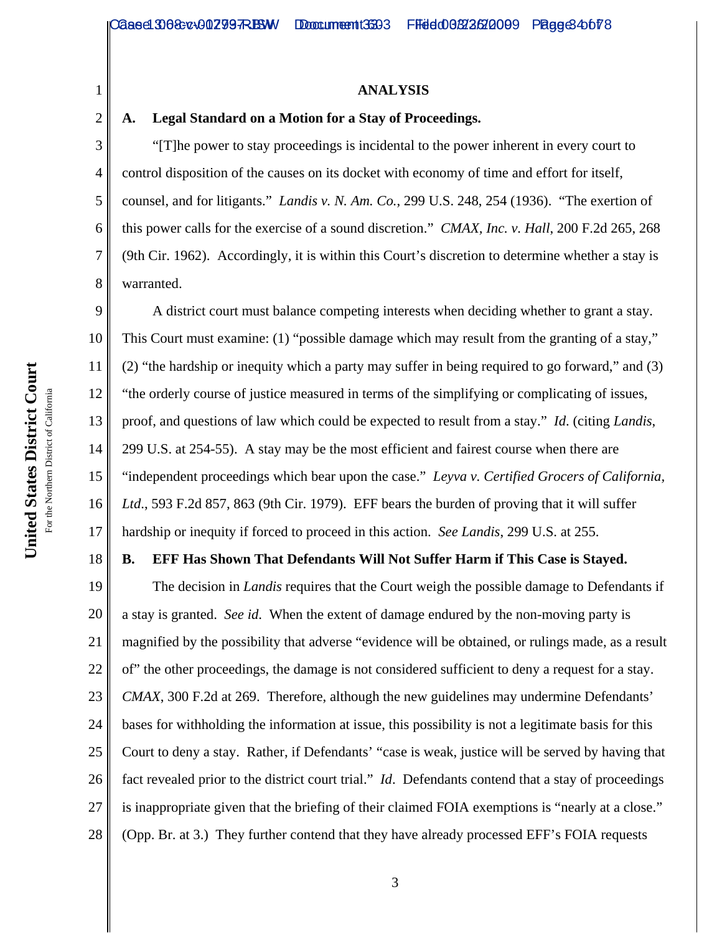### **ANALYSIS**

### **A. Legal Standard on a Motion for a Stay of Proceedings.**

3 4 5 6 8 "[T]he power to stay proceedings is incidental to the power inherent in every court to control disposition of the causes on its docket with economy of time and effort for itself, counsel, and for litigants." *Landis v. N. Am. Co.*, 299 U.S. 248, 254 (1936). "The exertion of this power calls for the exercise of a sound discretion." *CMAX, Inc. v. Hall*, 200 F.2d 265, 268 (9th Cir. 1962). Accordingly, it is within this Court's discretion to determine whether a stay is warranted.

9 10 11 12 13 14 15 16 17 A district court must balance competing interests when deciding whether to grant a stay. This Court must examine: (1) "possible damage which may result from the granting of a stay," (2) "the hardship or inequity which a party may suffer in being required to go forward," and (3) "the orderly course of justice measured in terms of the simplifying or complicating of issues, proof, and questions of law which could be expected to result from a stay." *Id*. (citing *Landis*, 299 U.S. at 254-55).A stay may be the most efficient and fairest course when there are "independent proceedings which bear upon the case." *Leyva v. Certified Grocers of California, Ltd*., 593 F.2d 857, 863 (9th Cir. 1979). EFF bears the burden of proving that it will suffer hardship or inequity if forced to proceed in this action. *See Landis*, 299 U.S. at 255.

#### 18 **B. EFF Has Shown That Defendants Will Not Suffer Harm if This Case is Stayed.**

19 20 21 22 23 24 25 26 27 28 The decision in *Landis* requires that the Court weigh the possible damage to Defendants if a stay is granted. *See id*. When the extent of damage endured by the non-moving party is magnified by the possibility that adverse "evidence will be obtained, or rulings made, as a result of" the other proceedings, the damage is not considered sufficient to deny a request for a stay. *CMAX*, 300 F.2d at 269. Therefore, although the new guidelines may undermine Defendants' bases for withholding the information at issue, this possibility is not a legitimate basis for this Court to deny a stay. Rather, if Defendants' "case is weak, justice will be served by having that fact revealed prior to the district court trial." *Id*. Defendants contend that a stay of proceedings is inappropriate given that the briefing of their claimed FOIA exemptions is "nearly at a close." (Opp. Br. at 3.) They further contend that they have already processed EFF's FOIA requests

1

2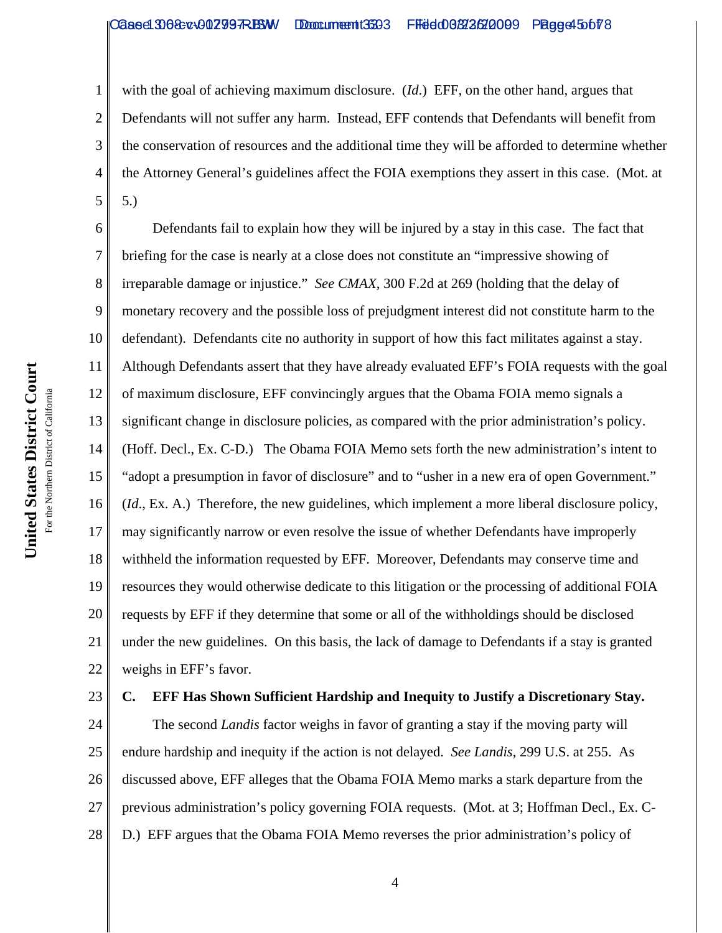with the goal of achieving maximum disclosure. (*Id*.) EFF, on the other hand, argues that Defendants will not suffer any harm. Instead, EFF contends that Defendants will benefit from the conservation of resources and the additional time they will be afforded to determine whether the Attorney General's guidelines affect the FOIA exemptions they assert in this case. (Mot. at 5.)

6 7 8 9 10 11 12 13 14 15 16 17 18 19 20 21 22 Defendants fail to explain how they will be injured by a stay in this case. The fact that briefing for the case is nearly at a close does not constitute an "impressive showing of irreparable damage or injustice." *See CMAX*, 300 F.2d at 269 (holding that the delay of monetary recovery and the possible loss of prejudgment interest did not constitute harm to the defendant). Defendants cite no authority in support of how this fact militates against a stay. Although Defendants assert that they have already evaluated EFF's FOIA requests with the goal of maximum disclosure, EFF convincingly argues that the Obama FOIA memo signals a significant change in disclosure policies, as compared with the prior administration's policy. (Hoff. Decl., Ex. C-D.) The Obama FOIA Memo sets forth the new administration's intent to "adopt a presumption in favor of disclosure" and to "usher in a new era of open Government." (*Id*., Ex. A.) Therefore, the new guidelines, which implement a more liberal disclosure policy, may significantly narrow or even resolve the issue of whether Defendants have improperly withheld the information requested by EFF. Moreover, Defendants may conserve time and resources they would otherwise dedicate to this litigation or the processing of additional FOIA requests by EFF if they determine that some or all of the withholdings should be disclosed under the new guidelines. On this basis, the lack of damage to Defendants if a stay is granted weighs in EFF's favor.

23

1

2

3

4

5

### **C. EFF Has Shown Sufficient Hardship and Inequity to Justify a Discretionary Stay.**

24 25 26 27 28 The second *Landis* factor weighs in favor of granting a stay if the moving party will endure hardship and inequity if the action is not delayed. *See Landis*, 299 U.S. at 255. As discussed above, EFF alleges that the Obama FOIA Memo marks a stark departure from the previous administration's policy governing FOIA requests. (Mot. at 3; Hoffman Decl., Ex. C-D.) EFF argues that the Obama FOIA Memo reverses the prior administration's policy of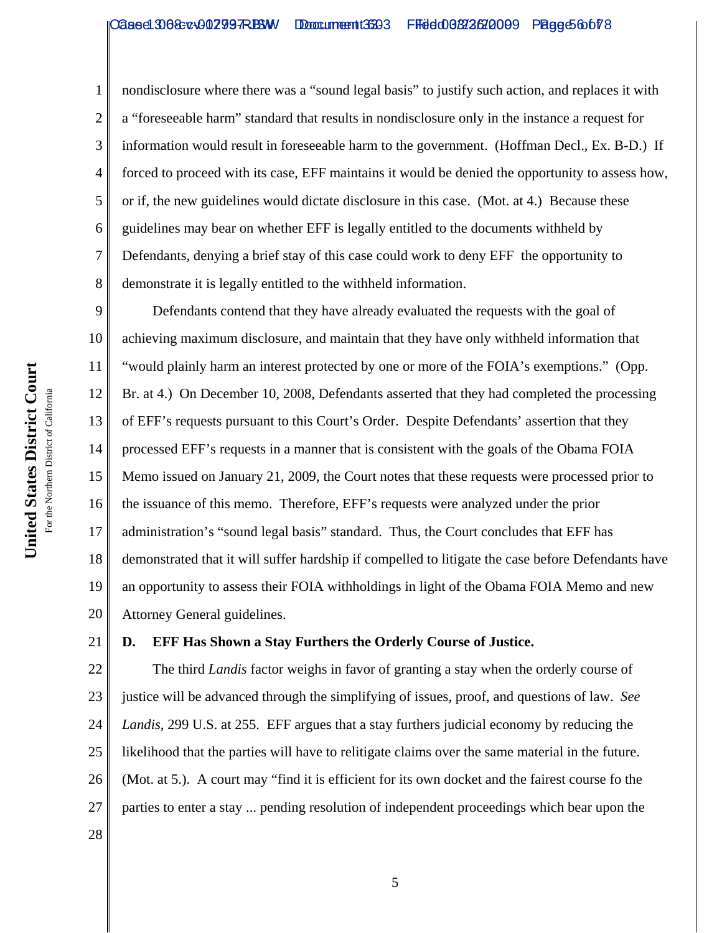United States District Court **United States District Court** For the Northern District of California For the Northern District of California

1 2 3 4 5 6 7 8 nondisclosure where there was a "sound legal basis" to justify such action, and replaces it with a "foreseeable harm" standard that results in nondisclosure only in the instance a request for information would result in foreseeable harm to the government. (Hoffman Decl., Ex. B-D.) If forced to proceed with its case, EFF maintains it would be denied the opportunity to assess how, or if, the new guidelines would dictate disclosure in this case. (Mot. at 4.)Because these guidelines may bear on whether EFF is legally entitled to the documents withheld by Defendants, denying a brief stay of this case could work to deny EFF the opportunity to demonstrate it is legally entitled to the withheld information.

9 10 11 12 13 14 15 16 17 18 19 20 Defendants contend that they have already evaluated the requests with the goal of achieving maximum disclosure, and maintain that they have only withheld information that "would plainly harm an interest protected by one or more of the FOIA's exemptions." (Opp. Br. at 4.) On December 10, 2008, Defendants asserted that they had completed the processing of EFF's requests pursuant to this Court's Order. Despite Defendants' assertion that they processed EFF's requests in a manner that is consistent with the goals of the Obama FOIA Memo issued on January 21, 2009, the Court notes that these requests were processed prior to the issuance of this memo. Therefore, EFF's requests were analyzed under the prior administration's "sound legal basis" standard. Thus, the Court concludes that EFF has demonstrated that it will suffer hardship if compelled to litigate the case before Defendants have an opportunity to assess their FOIA withholdings in light of the Obama FOIA Memo and new Attorney General guidelines.

21

## **D. EFF Has Shown a Stay Furthers the Orderly Course of Justice.**

22 23 24 25 26 27 The third *Landis* factor weighs in favor of granting a stay when the orderly course of justice will be advanced through the simplifying of issues, proof, and questions of law. *See Landis*, 299 U.S. at 255. EFF argues that a stay furthers judicial economy by reducing the likelihood that the parties will have to relitigate claims over the same material in the future. (Mot. at 5.). A court may "find it is efficient for its own docket and the fairest course fo the parties to enter a stay ... pending resolution of independent proceedings which bear upon the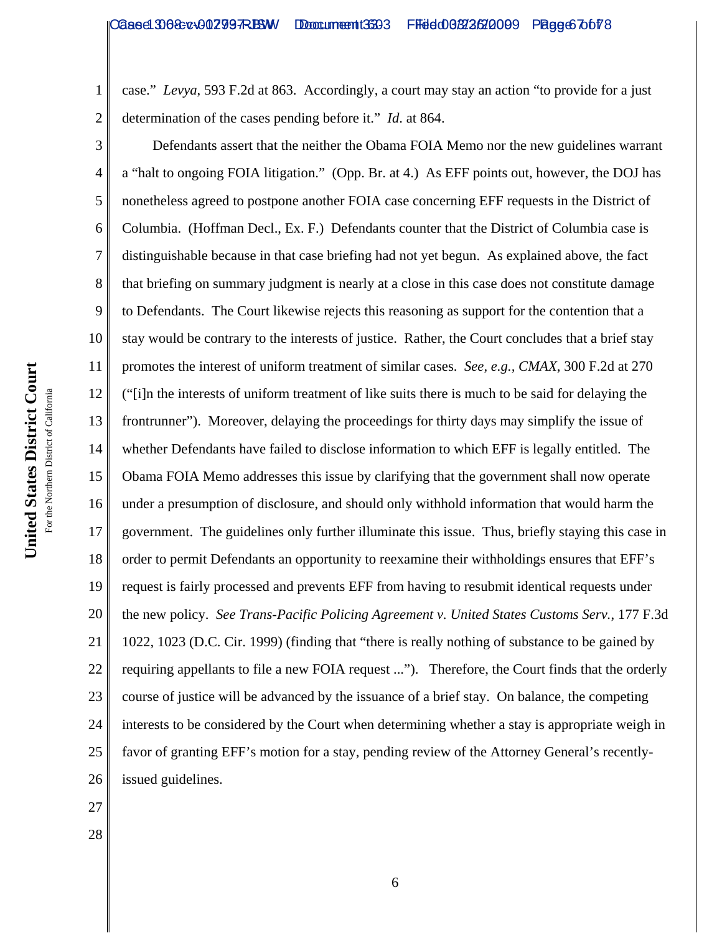2 case." *Levya*, 593 F.2d at 863. Accordingly, a court may stay an action "to provide for a just determination of the cases pending before it." *Id*. at 864.

3 4 5 6 7 8 9 10 11 12 13 14 15 16 17 18 19 20 21 22 23 24 25 26 Defendants assert that the neither the Obama FOIA Memo nor the new guidelines warrant a "halt to ongoing FOIA litigation." (Opp. Br. at 4.) As EFF points out, however, the DOJ has nonetheless agreed to postpone another FOIA case concerning EFF requests in the District of Columbia. (Hoffman Decl., Ex. F.) Defendants counter that the District of Columbia case is distinguishable because in that case briefing had not yet begun. As explained above, the fact that briefing on summary judgment is nearly at a close in this case does not constitute damage to Defendants. The Court likewise rejects this reasoning as support for the contention that a stay would be contrary to the interests of justice. Rather, the Court concludes that a brief stay promotes the interest of uniform treatment of similar cases. *See, e.g., CMAX*, 300 F.2d at 270 ("[i]n the interests of uniform treatment of like suits there is much to be said for delaying the frontrunner"). Moreover, delaying the proceedings for thirty days may simplify the issue of whether Defendants have failed to disclose information to which EFF is legally entitled. The Obama FOIA Memo addresses this issue by clarifying that the government shall now operate under a presumption of disclosure, and should only withhold information that would harm the government. The guidelines only further illuminate this issue. Thus, briefly staying this case in order to permit Defendants an opportunity to reexamine their withholdings ensures that EFF's request is fairly processed and prevents EFF from having to resubmit identical requests under the new policy. *See Trans-Pacific Policing Agreement v. United States Customs Serv.*, 177 F.3d 1022, 1023 (D.C. Cir. 1999) (finding that "there is really nothing of substance to be gained by requiring appellants to file a new FOIA request ..."). Therefore, the Court finds that the orderly course of justice will be advanced by the issuance of a brief stay. On balance, the competing interests to be considered by the Court when determining whether a stay is appropriate weigh in favor of granting EFF's motion for a stay, pending review of the Attorney General's recentlyissued guidelines.

27

28

1